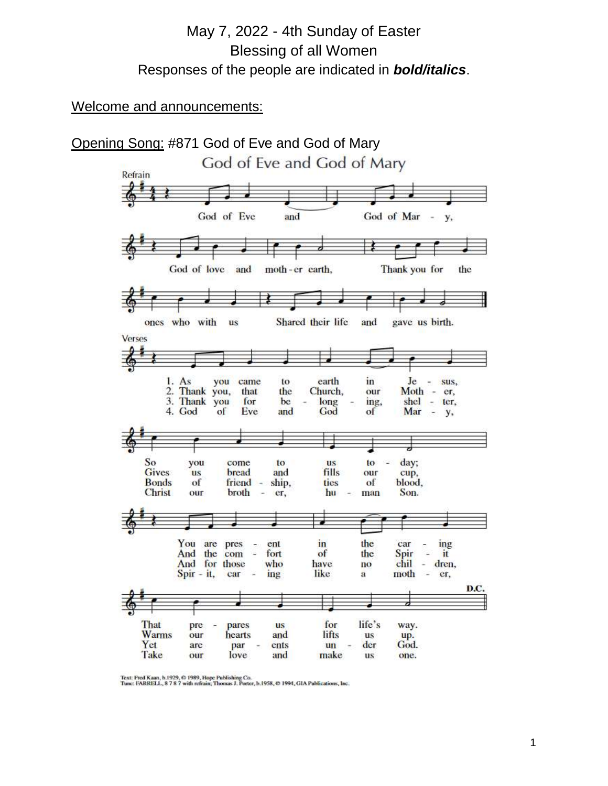# May 7, 2022 - 4th Sunday of Easter Blessing of all Women Responses of the people are indicated in *bold/italics*.

#### Welcome and announcements:



Text: Fred Kaan, b.1929, © 1989, Hope Publishing Co.<br>Tune: FARRELL, 8 7 8 7 with refrain; Thomas J. Porter, b.1958, © 1994, GIA Publications, Inc.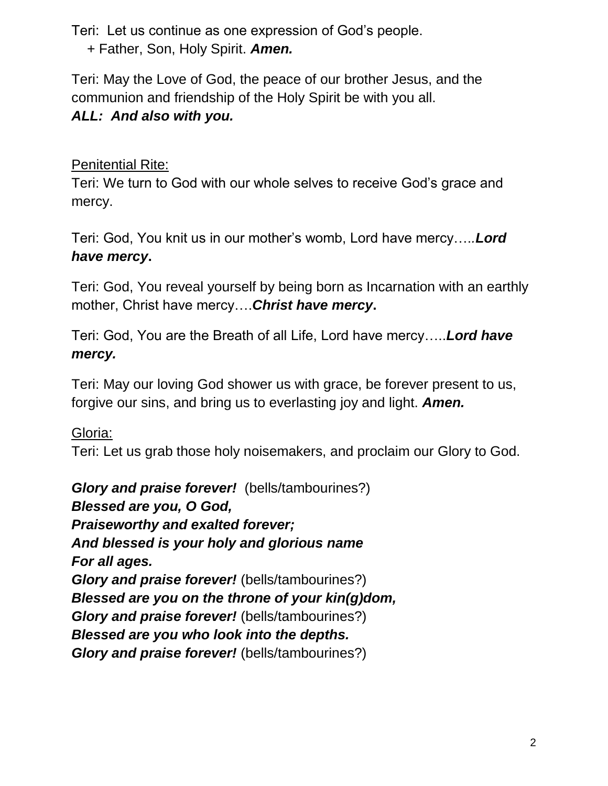Teri: Let us continue as one expression of God's people.

+ Father, Son, Holy Spirit. *Amen.*

Teri: May the Love of God, the peace of our brother Jesus, and the communion and friendship of the Holy Spirit be with you all.

# *ALL: And also with you.*

# Penitential Rite:

Teri: We turn to God with our whole selves to receive God's grace and mercy.

Teri: God, You knit us in our mother's womb, Lord have mercy….*.Lord have mercy***.**

Teri: God, You reveal yourself by being born as Incarnation with an earthly mother, Christ have mercy….*Christ have mercy***.**

Teri: God, You are the Breath of all Life, Lord have mercy…..*Lord have mercy.*

Teri: May our loving God shower us with grace, be forever present to us, forgive our sins, and bring us to everlasting joy and light. *Amen.*

Gloria:

Teri: Let us grab those holy noisemakers, and proclaim our Glory to God.

*Glory and praise forever!* (bells/tambourines?) *Blessed are you, O God, Praiseworthy and exalted forever; And blessed is your holy and glorious name For all ages. Glory and praise forever!* (bells/tambourines?) *Blessed are you on the throne of your kin(g)dom, Glory and praise forever!* (bells/tambourines?) *Blessed are you who look into the depths. Glory and praise forever!* (bells/tambourines?)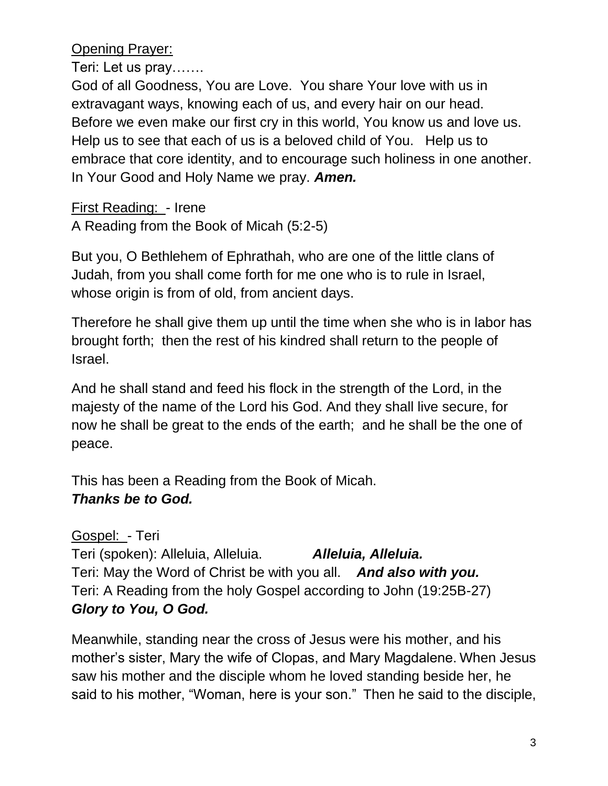Opening Prayer:

Teri: Let us pray…….

God of all Goodness, You are Love. You share Your love with us in extravagant ways, knowing each of us, and every hair on our head. Before we even make our first cry in this world, You know us and love us. Help us to see that each of us is a beloved child of You. Help us to embrace that core identity, and to encourage such holiness in one another. In Your Good and Holy Name we pray. *Amen.*

First Reading: - Irene A Reading from the Book of Micah (5:2-5)

But you, O Bethlehem of Ephrathah, who are one of the little clans of Judah, from you shall come forth for me one who is to rule in Israel, whose origin is from of old, from ancient days.

Therefore he shall give them up until the time when she who is in labor has brought forth; then the rest of his kindred shall return to the people of Israel.

And he shall stand and feed his flock in the strength of the Lord, in the majesty of the name of the Lord his God. And they shall live secure, for now he shall be great to the ends of the earth;and he shall be the one of peace.

This has been a Reading from the Book of Micah. *Thanks be to God.* 

Gospel: - Teri Teri (spoken): Alleluia, Alleluia. *Alleluia, Alleluia.*  Teri: May the Word of Christ be with you all. *And also with you.*  Teri: A Reading from the holy Gospel according to John (19:25B-27) *Glory to You, O God.* 

Meanwhile, standing near the cross of Jesus were his mother, and his mother's sister, Mary the wife of Clopas, and Mary Magdalene. When Jesus saw his mother and the disciple whom he loved standing beside her, he said to his mother, "Woman, here is your son." Then he said to the disciple,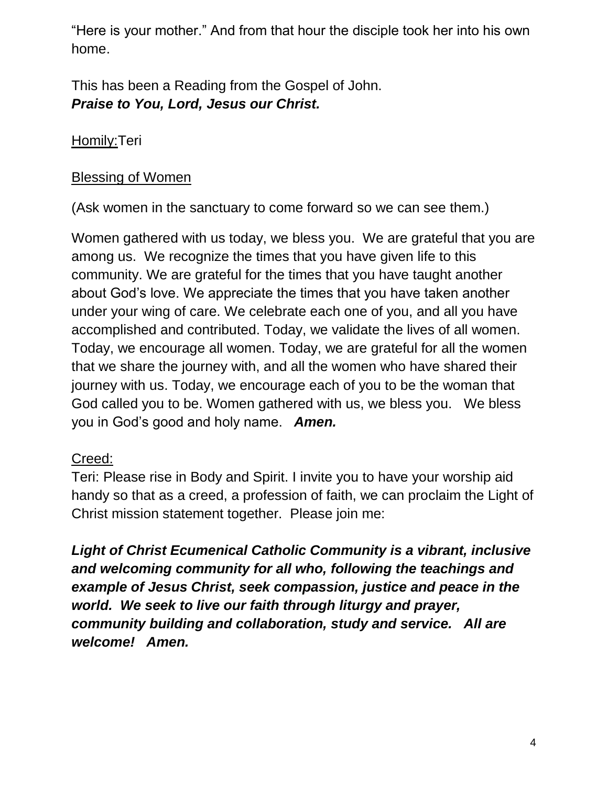"Here is your mother." And from that hour the disciple took her into his own home.

This has been a Reading from the Gospel of John. *Praise to You, Lord, Jesus our Christ.* 

### Homily: Teri

#### Blessing of Women

(Ask women in the sanctuary to come forward so we can see them.)

Women gathered with us today, we bless you. We are grateful that you are among us. We recognize the times that you have given life to this community. We are grateful for the times that you have taught another about God's love. We appreciate the times that you have taken another under your wing of care. We celebrate each one of you, and all you have accomplished and contributed. Today, we validate the lives of all women. Today, we encourage all women. Today, we are grateful for all the women that we share the journey with, and all the women who have shared their journey with us. Today, we encourage each of you to be the woman that God called you to be. Women gathered with us, we bless you. We bless you in God's good and holy name. *Amen.*

#### Creed:

Teri: Please rise in Body and Spirit. I invite you to have your worship aid handy so that as a creed, a profession of faith, we can proclaim the Light of Christ mission statement together. Please join me:

*Light of Christ Ecumenical Catholic Community is a vibrant, inclusive and welcoming community for all who, following the teachings and example of Jesus Christ, seek compassion, justice and peace in the world. We seek to live our faith through liturgy and prayer, community building and collaboration, study and service. All are welcome! Amen.*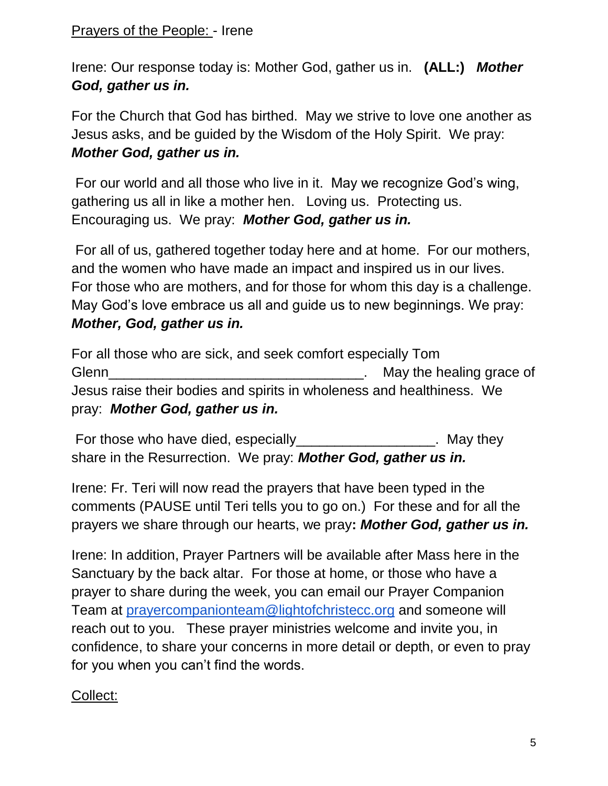### Prayers of the People: - Irene

Irene: Our response today is: Mother God, gather us in. **(ALL:)** *Mother God, gather us in.* 

For the Church that God has birthed. May we strive to love one another as Jesus asks, and be guided by the Wisdom of the Holy Spirit. We pray: *Mother God, gather us in.*

For our world and all those who live in it. May we recognize God's wing, gathering us all in like a mother hen. Loving us. Protecting us. Encouraging us. We pray: *Mother God, gather us in.*

For all of us, gathered together today here and at home. For our mothers, and the women who have made an impact and inspired us in our lives. For those who are mothers, and for those for whom this day is a challenge. May God's love embrace us all and guide us to new beginnings. We pray: *Mother, God, gather us in.*

For all those who are sick, and seek comfort especially Tom Glenn Glenn Glenn Contact Contact Contact Contact Contact Contact Contact Contact Contact Contact Contact Contact Contact Contact Contact Contact Contact Contact Contact Contact Contact Contact Contact Contact Contact Cont Jesus raise their bodies and spirits in wholeness and healthiness. We pray: *Mother God, gather us in.*

For those who have died, especially **Example 20** For those who have died, especially share in the Resurrection. We pray: *Mother God, gather us in.*

Irene: Fr. Teri will now read the prayers that have been typed in the comments (PAUSE until Teri tells you to go on.) For these and for all the prayers we share through our hearts, we pray**:** *Mother God, gather us in.*

Irene: In addition, Prayer Partners will be available after Mass here in the Sanctuary by the back altar. For those at home, or those who have a prayer to share during the week, you can email our Prayer Companion Team at [prayercompanionteam@lightofchristecc.org](mailto:prayercompanionteam@lightofchristecc.org) and someone will reach out to you. These prayer ministries welcome and invite you, in confidence, to share your concerns in more detail or depth, or even to pray for you when you can't find the words.

# Collect: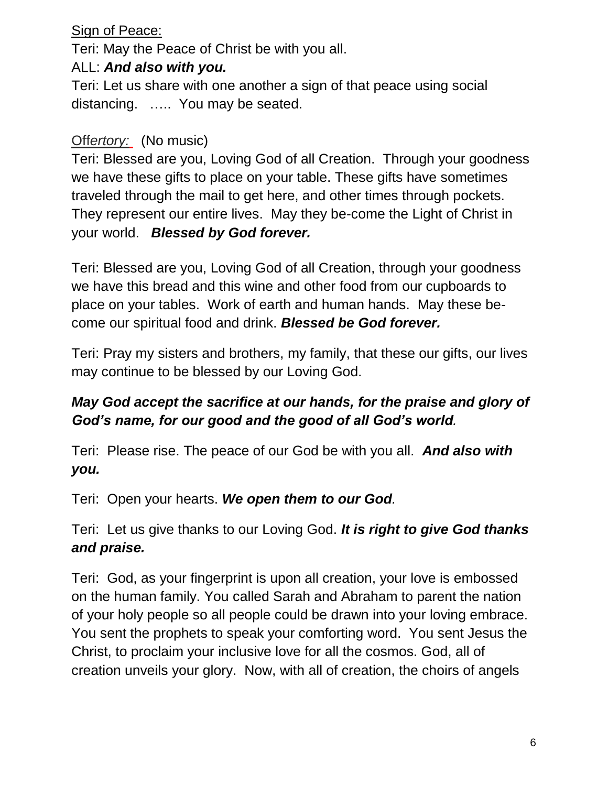### Sign of Peace:

Teri: May the Peace of Christ be with you all.

### ALL: *And also with you.*

Teri: Let us share with one another a sign of that peace using social distancing. ….. You may be seated.

### Off*ertory:* (No music)

Teri: Blessed are you, Loving God of all Creation. Through your goodness we have these gifts to place on your table. These gifts have sometimes traveled through the mail to get here, and other times through pockets. They represent our entire lives. May they be-come the Light of Christ in your world. *Blessed by God forever.*

Teri: Blessed are you, Loving God of all Creation, through your goodness we have this bread and this wine and other food from our cupboards to place on your tables. Work of earth and human hands. May these become our spiritual food and drink. *Blessed be God forever.*

Teri: Pray my sisters and brothers, my family, that these our gifts, our lives may continue to be blessed by our Loving God.

# *May God accept the sacrifice at our hands, for the praise and glory of God's name, for our good and the good of all God's world.*

Teri: Please rise. The peace of our God be with you all. *And also with you.*

Teri: Open your hearts. *We open them to our God.*

Teri: Let us give thanks to our Loving God. *It is right to give God thanks and praise.*

Teri: God, as your fingerprint is upon all creation, your love is embossed on the human family. You called Sarah and Abraham to parent the nation of your holy people so all people could be drawn into your loving embrace. You sent the prophets to speak your comforting word. You sent Jesus the Christ, to proclaim your inclusive love for all the cosmos. God, all of creation unveils your glory. Now, with all of creation, the choirs of angels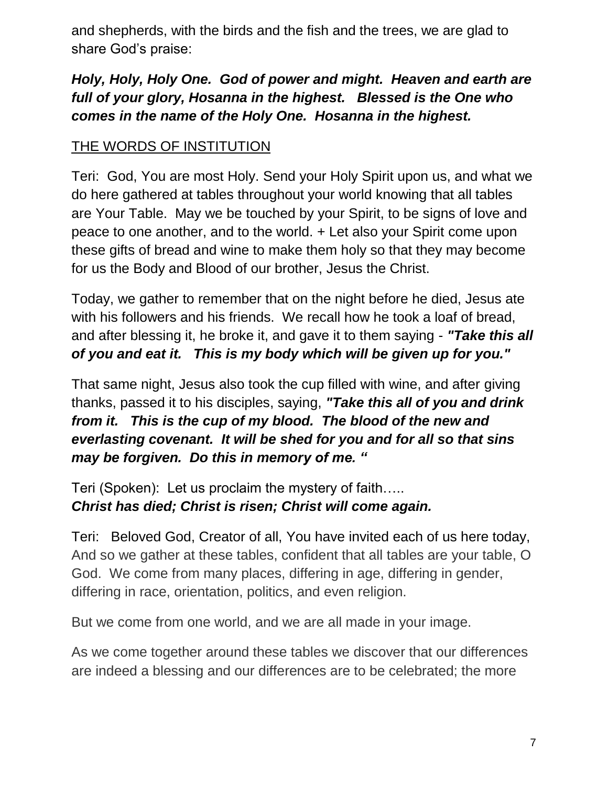and shepherds, with the birds and the fish and the trees, we are glad to share God's praise:

# *Holy, Holy, Holy One. God of power and might. Heaven and earth are full of your glory, Hosanna in the highest. Blessed is the One who comes in the name of the Holy One. Hosanna in the highest.*

# THE WORDS OF INSTITUTION

Teri: God, You are most Holy. Send your Holy Spirit upon us, and what we do here gathered at tables throughout your world knowing that all tables are Your Table. May we be touched by your Spirit, to be signs of love and peace to one another, and to the world. + Let also your Spirit come upon these gifts of bread and wine to make them holy so that they may become for us the Body and Blood of our brother, Jesus the Christ.

Today, we gather to remember that on the night before he died, Jesus ate with his followers and his friends. We recall how he took a loaf of bread, and after blessing it, he broke it, and gave it to them saying - *"Take this all of you and eat it. This is my body which will be given up for you."*

That same night, Jesus also took the cup filled with wine, and after giving thanks, passed it to his disciples, saying, *"Take this all of you and drink from it. This is the cup of my blood. The blood of the new and everlasting covenant. It will be shed for you and for all so that sins may be forgiven. Do this in memory of me. "*

Teri (Spoken): Let us proclaim the mystery of faith….. *Christ has died; Christ is risen; Christ will come again.*

Teri: Beloved God, Creator of all, You have invited each of us here today, And so we gather at these tables, confident that all tables are your table, O God. We come from many places, differing in age, differing in gender, differing in race, orientation, politics, and even religion.

But we come from one world, and we are all made in your image.

As we come together around these tables we discover that our differences are indeed a blessing and our differences are to be celebrated; the more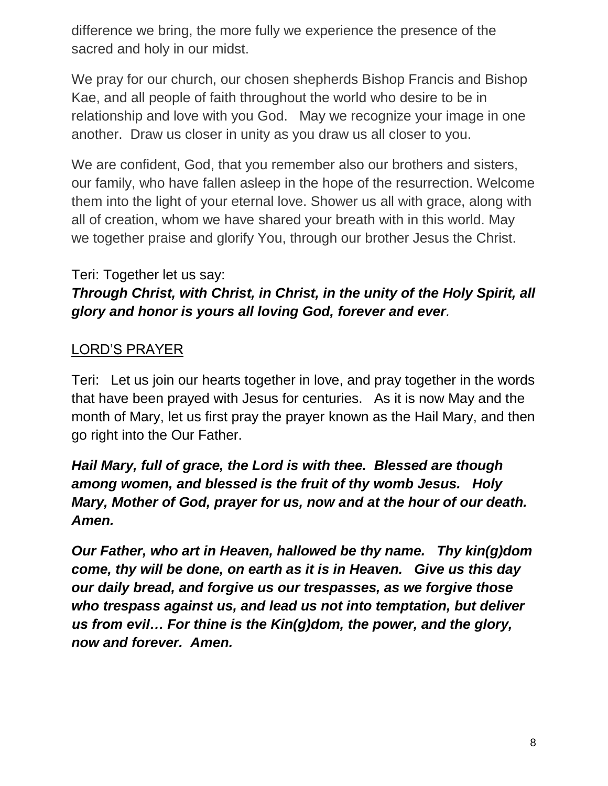difference we bring, the more fully we experience the presence of the sacred and holy in our midst.

We pray for our church, our chosen shepherds Bishop Francis and Bishop Kae, and all people of faith throughout the world who desire to be in relationship and love with you God. May we recognize your image in one another. Draw us closer in unity as you draw us all closer to you.

We are confident, God, that you remember also our brothers and sisters, our family, who have fallen asleep in the hope of the resurrection. Welcome them into the light of your eternal love. Shower us all with grace, along with all of creation, whom we have shared your breath with in this world. May we together praise and glorify You, through our brother Jesus the Christ.

### Teri: Together let us say:

# *Through Christ, with Christ, in Christ, in the unity of the Holy Spirit, all glory and honor is yours all loving God, forever and ever.*

### LORD'S PRAYER

Teri: Let us join our hearts together in love, and pray together in the words that have been prayed with Jesus for centuries. As it is now May and the month of Mary, let us first pray the prayer known as the Hail Mary, and then go right into the Our Father.

*Hail Mary, full of grace, the Lord is with thee. Blessed are though among women, and blessed is the fruit of thy womb Jesus. Holy Mary, Mother of God, prayer for us, now and at the hour of our death. Amen.*

*Our Father, who art in Heaven, hallowed be thy name. Thy kin(g)dom come, thy will be done, on earth as it is in Heaven. Give us this day our daily bread, and forgive us our trespasses, as we forgive those who trespass against us, and lead us not into temptation, but deliver us from evil… For thine is the Kin(g)dom, the power, and the glory, now and forever. Amen.*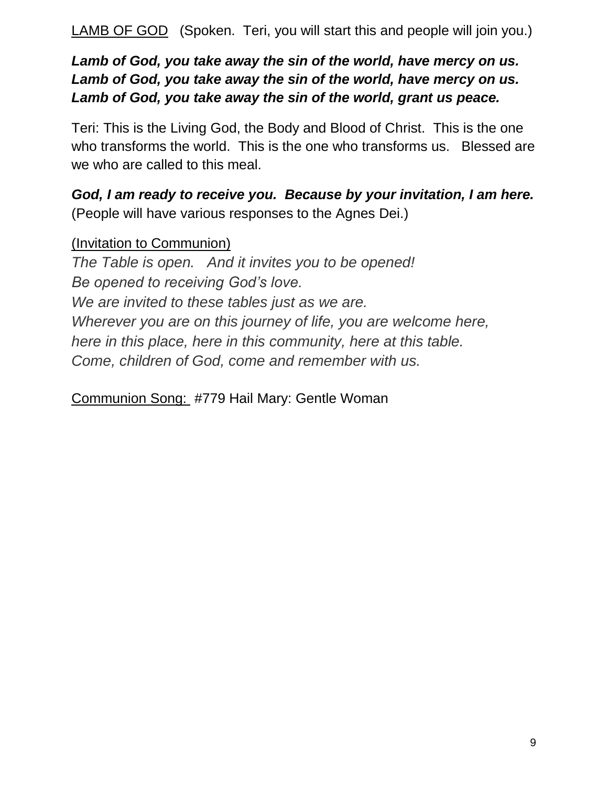LAMB OF GOD (Spoken. Teri, you will start this and people will join you.)

*Lamb of God, you take away the sin of the world, have mercy on us. Lamb of God, you take away the sin of the world, have mercy on us. Lamb of God, you take away the sin of the world, grant us peace.* 

Teri: This is the Living God, the Body and Blood of Christ. This is the one who transforms the world. This is the one who transforms us. Blessed are we who are called to this meal.

*God, I am ready to receive you. Because by your invitation, I am here.* (People will have various responses to the Agnes Dei.)

(Invitation to Communion) *The Table is open. And it invites you to be opened! Be opened to receiving God's love. We are invited to these tables just as we are. Wherever you are on this journey of life, you are welcome here, here in this place, here in this community, here at this table. Come, children of God, come and remember with us.*

Communion Song: #779 Hail Mary: Gentle Woman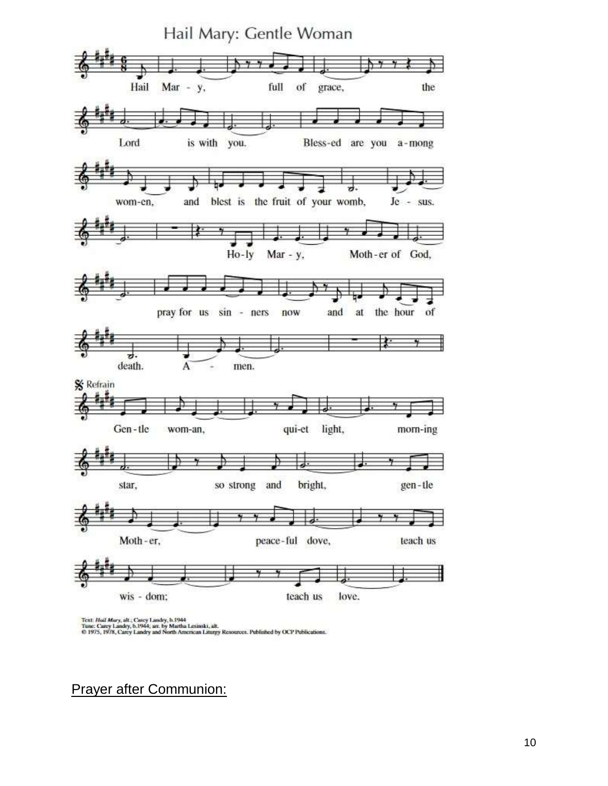

Text: Hail Mary, alt.; Carey Landry, b.1944<br>Tune: Carey Landry, b.1944; arr. by Martha Lesinski, alt.<br>© 1975, 1978, Carey Landry and North American Liturgy Resources. Published by OCP Publications.

Prayer after Communion: